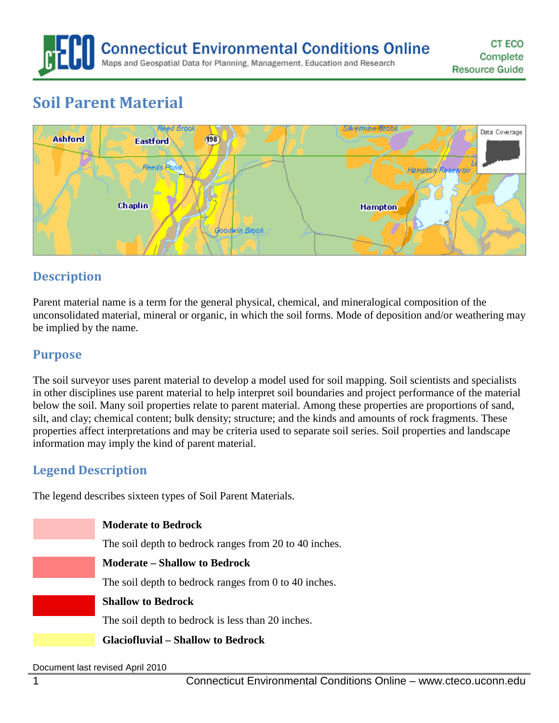**Connecticut Environmental Conditions Online** Maps and Geospatial Data for Planning, Management, Education and Research

# **Soil Parent Material**



# **Description**

Parent material name is a term for the general physical, chemical, and mineralogical composition of the unconsolidated material, mineral or organic, in which the soil forms. Mode of deposition and/or weathering may be implied by the name.

### **Purpose**

The soil surveyor uses parent material to develop a model used for soil mapping. Soil scientists and specialists in other disciplines use parent material to help interpret soil boundaries and project performance of the material below the soil. Many soil properties relate to parent material. Among these properties are proportions of sand, silt, and clay; chemical content; bulk density; structure; and the kinds and amounts of rock fragments. These properties affect interpretations and may be criteria used to separate soil series. Soil properties and landscape information may imply the kind of parent material.

### **Legend Description**

The legend describes sixteen types of Soil Parent Materials.

| <b>Moderate to Bedrock</b>                             |
|--------------------------------------------------------|
| The soil depth to bedrock ranges from 20 to 40 inches. |
| <b>Moderate – Shallow to Bedrock</b>                   |
| The soil depth to bedrock ranges from 0 to 40 inches.  |
| <b>Shallow to Bedrock</b>                              |
| The soil depth to bedrock is less than 20 inches.      |
| <b>Glaciofluvial – Shallow to Bedrock</b>              |
|                                                        |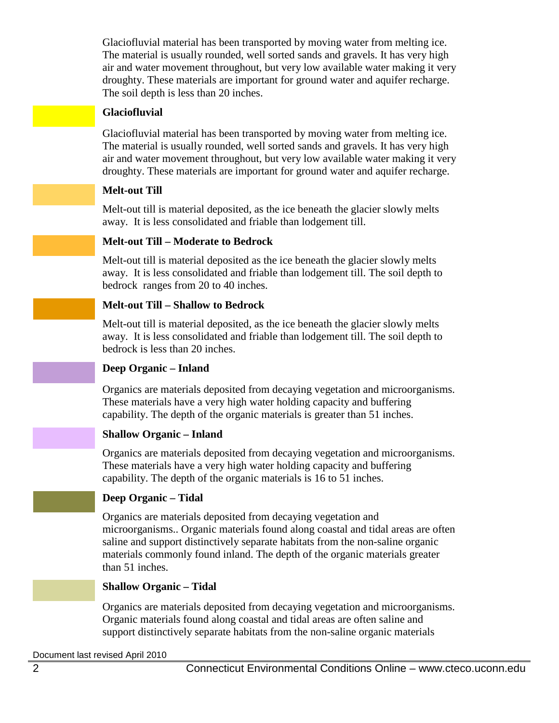Glaciofluvial material has been transported by moving water from melting ice. The material is usually rounded, well sorted sands and gravels. It has very high air and water movement throughout, but very low available water making it very droughty. These materials are important for ground water and aquifer recharge. The soil depth is less than 20 inches.

#### **Glaciofluvial**

Glaciofluvial material has been transported by moving water from melting ice. The material is usually rounded, well sorted sands and gravels. It has very high air and water movement throughout, but very low available water making it very droughty. These materials are important for ground water and aquifer recharge.

#### **Melt-out Till**

Melt-out till is material deposited, as the ice beneath the glacier slowly melts away. It is less consolidated and friable than lodgement till.

#### **Melt-out Till – Moderate to Bedrock**

Melt-out till is material deposited as the ice beneath the glacier slowly melts away. It is less consolidated and friable than lodgement till. The soil depth to bedrock ranges from 20 to 40 inches.

#### **Melt-out Till – Shallow to Bedrock**

Melt-out till is material deposited, as the ice beneath the glacier slowly melts away. It is less consolidated and friable than lodgement till. The soil depth to bedrock is less than 20 inches.

#### **Deep Organic – Inland**

Organics are materials deposited from decaying vegetation and microorganisms. These materials have a very high water holding capacity and buffering capability. The depth of the organic materials is greater than 51 inches.

#### **Shallow Organic – Inland**

Organics are materials deposited from decaying vegetation and microorganisms. These materials have a very high water holding capacity and buffering capability. The depth of the organic materials is 16 to 51 inches.

#### **Deep Organic – Tidal**

Organics are materials deposited from decaying vegetation and microorganisms.. Organic materials found along coastal and tidal areas are often saline and support distinctively separate habitats from the non-saline organic materials commonly found inland. The depth of the organic materials greater than 51 inches.

#### **Shallow Organic – Tidal**

Organics are materials deposited from decaying vegetation and microorganisms. Organic materials found along coastal and tidal areas are often saline and support distinctively separate habitats from the non-saline organic materials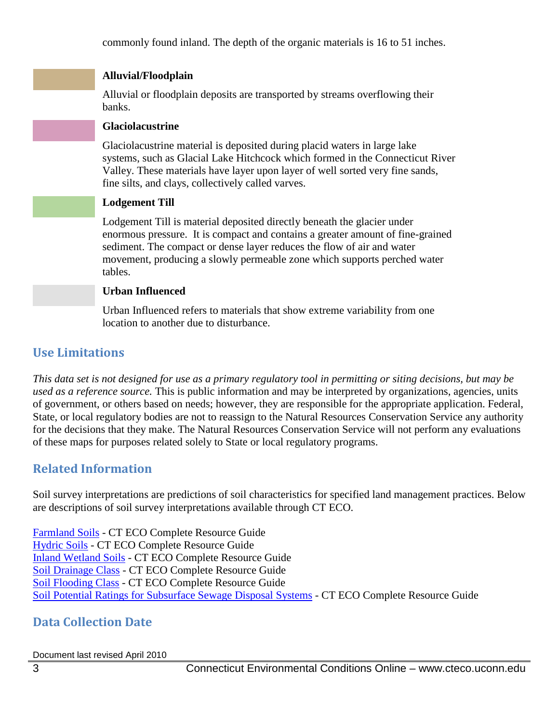commonly found inland. The depth of the organic materials is 16 to 51 inches.

#### **Alluvial/Floodplain**

Alluvial or floodplain deposits are transported by streams overflowing their banks.

#### **Glaciolacustrine**

Glaciolacustrine material is deposited during placid waters in large lake systems, such as Glacial Lake Hitchcock which formed in the Connecticut River Valley. These materials have layer upon layer of well sorted very fine sands, fine silts, and clays, collectively called varves.

#### **Lodgement Till**

Lodgement Till is material deposited directly beneath the glacier under enormous pressure. It is compact and contains a greater amount of fine-grained sediment. The compact or dense layer reduces the flow of air and water movement, producing a slowly permeable zone which supports perched water tables.

#### **Urban Influenced**

Urban Influenced refers to materials that show extreme variability from one location to another due to disturbance.

# **Use Limitations**

*This data set is not designed for use as a primary regulatory tool in permitting or siting decisions, but may be used as a reference source.* This is public information and may be interpreted by organizations, agencies, units of government, or others based on needs; however, they are responsible for the appropriate application. Federal, State, or local regulatory bodies are not to reassign to the Natural Resources Conservation Service any authority for the decisions that they make. The Natural Resources Conservation Service will not perform any evaluations of these maps for purposes related solely to State or local regulatory programs.

# **Related Information**

Soil survey interpretations are predictions of soil characteristics for specified land management practices. Below are descriptions of soil survey interpretations available through CT ECO.

[Farmland Soils](http://www.cteco.uconn.edu/guides/resource/CT_ECO_Resource_Guide_Soils_Farmland.pdf) - CT ECO Complete Resource Guide [Hydric Soils](http://www.cteco.uconn.edu/guides/resource/CT_ECO_Resource_Guide_Soils_Hydric.pdf) - CT ECO Complete Resource Guide [Inland Wetland Soils](http://www.cteco.uconn.edu/guides/resource/CT_ECO_Resource_Guide_Soils_Inland_Wetland.pdf) - CT ECO Complete Resource Guide [Soil Drainage Class](http://www.cteco.uconn.edu/guides/resource/CT_ECO_Resource_Guide_Soils_Drainage.pdf) - CT ECO Complete Resource Guide [Soil Flooding Class](http://www.cteco.uconn.edu/guides/resource/CT_ECO_Resource_Guide_Soils_Flooding.pdf) - CT ECO Complete Resource Guide Soil Potential Ratings [for Subsurface Sewage Disposal Systems](http://www.cteco.uconn.edu/guides/resource/CT_ECO_Resource_Guide_Soils_Potential_SSDS.pdf) - CT ECO Complete Resource Guide

# **Data Collection Date**